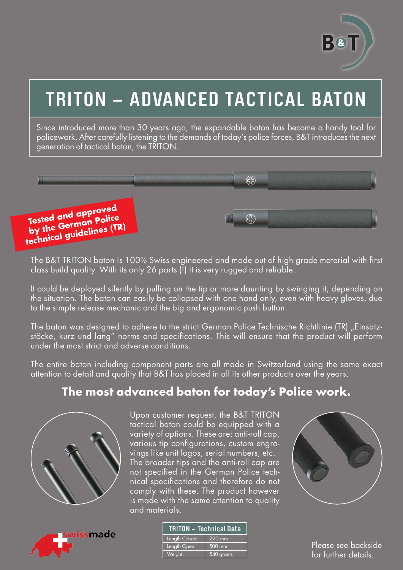

# **TRITON – ADVANCED TACTICAL BATON**

Since introduced more than 30 years ago, the expandable baton has become a handy tool for policework. After carefully listening to the demands of today's police forces, B&T introduces the next generation of tactical baton, the TRITON.



The B&T TRITON baton is 100% Swiss engineered and made out of high grade material with first class build quality. With its only 26 parts (!) it is very rugged and reliable.

It could be deployed silently by pulling on the tip or more daunting by swinging it, depending on the situation. The baton can easily be collapsed with one hand only, even with heavy gloves, due to the simple release mechanic and the big and ergonomic push button.

The baton was designed to adhere to the strict German Police Technische Richtlinie (TR) "Einsatzstöcke, kurz und lang" norms and specifications. This will ensure that the product will perform under the most strict and adverse conditions.

The entire baton including component parts are all made in Switzerland using the same exact attention to detail and quality that B&T has placed in all its other products over the years.

### **The most advanced baton for today's Police work.**



Upon customer request, the B&T TRITON tactical baton could be equipped with a variety of options. These are: anti-roll cap, various tip configurations, custom engravings like unit logos, serial numbers, etc. The broader tips and the anti-roll cap are not specified in the German Police technical specifications and therefore do not comply with these. The product however is made with the same attention to quality and materials.





| <b>TRITON - Technical Data</b> |           |  |
|--------------------------------|-----------|--|
| Length Closed:                 | 220 mm    |  |
| Length Open:                   | 500 mm    |  |
| Weight:                        | 540 grams |  |

Please see backside for further details.